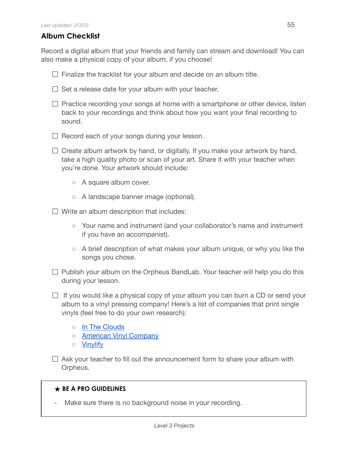## **Album Checklist**

Record a digital album that your friends and family can stream and download! You can also make a physical copy of your album, if you choose!

- $\Box$  Finalize the tracklist for your album and decide on an album title.
- $\Box$  Set a release date for your album with your teacher.
- $\Box$  Practice recording your songs at home with a smartphone or other device, listen back to your recordings and think about how you want your final recording to sound.
- $\Box$  Record each of your songs during your lesson.
- $\Box$  Create album artwork by hand, or digitally. If you make your artwork by hand, take a high quality photo or scan of your art. Share it with your teacher when you're done. Your artwork should include:
	- A square album cover.
	- A landscape banner image (optional).
- $\Box$  Write an album description that includes:
	- Your name and instrument (and your collaborator's name and instrument if you have an accompanist).
	- A brief description of what makes your album unique, or why you like the songs you chose.
- $\Box$  Publish your album on the Orpheus BandLab. Your teacher will help you do this during your lesson.
- $\Box$  If you would like a physical copy of your album you can burn a CD or send your album to a vinyl pressing company! Here's a list of companies that print single vinyls (feel free to do your own research):
	- In The [Clouds](https://intheclouds.io/collections/make-your-own-custom-vinyl-records/products/7-lathe-cut-vinyl-designer)
	- American Vinyl [Company](https://americanvinylco.com/)
	- [Vinylify](https://vinylify.com/)
- $\Box$  Ask your teacher to fill out the announcement form to share your album with Orpheus.

## **★ BE A PRO GUIDELINES**

Make sure there is no background noise in your recording.